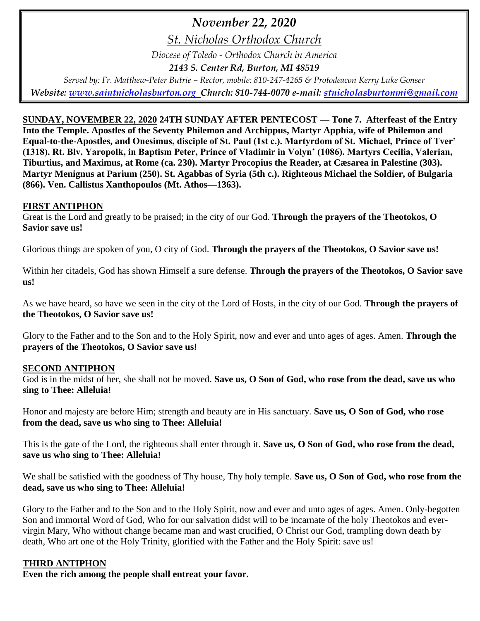# *November 22, 2020*

*St. Nicholas Orthodox Church*

*Diocese of Toledo - Orthodox Church in America*

*2143 S. Center Rd, Burton, MI 48519*

*Served by: Fr. Matthew-Peter Butrie – Rector, mobile: 810-247-4265 & Protodeacon Kerry Luke Gonser Website: [www.saintnicholasburton.org](http://www.saintnicholasburton.org/) Church: 810-744-0070 e-mail: [stnicholasburtonmi@gmail.com](mailto:stnicholasburtonmi@gmail.com)*

**SUNDAY, NOVEMBER 22, 2020 24TH SUNDAY AFTER PENTECOST — Tone 7. Afterfeast of the Entry Into the Temple. Apostles of the Seventy Philemon and Archippus, Martyr Apphia, wife of Philemon and Equal-to-the-Apostles, and Onesimus, disciple of St. Paul (1st c.). Martyrdom of St. Michael, Prince of Tver' (1318). Rt. Blv. Yaropolk, in Baptism Peter, Prince of Vladimir in Volyn' (1086). Martyrs Cecilia, Valerian, Tiburtius, and Maximus, at Rome (ca. 230). Martyr Procopius the Reader, at Cæsarea in Palestine (303). Martyr Menignus at Parium (250). St. Agabbas of Syria (5th c.). Righteous Michael the Soldier, of Bulgaria (866). Ven. Callistus Xanthopoulos (Mt. Athos—1363).** 

#### **FIRST ANTIPHON**

Great is the Lord and greatly to be praised; in the city of our God. **Through the prayers of the Theotokos, O Savior save us!**

Glorious things are spoken of you, O city of God. **Through the prayers of the Theotokos, O Savior save us!**

Within her citadels, God has shown Himself a sure defense. **Through the prayers of the Theotokos, O Savior save us!**

As we have heard, so have we seen in the city of the Lord of Hosts, in the city of our God. **Through the prayers of the Theotokos, O Savior save us!**

Glory to the Father and to the Son and to the Holy Spirit, now and ever and unto ages of ages. Amen. **Through the prayers of the Theotokos, O Savior save us!**

# **SECOND ANTIPHON**

God is in the midst of her, she shall not be moved. **Save us, O Son of God, who rose from the dead, save us who sing to Thee: Alleluia!**

Honor and majesty are before Him; strength and beauty are in His sanctuary. **Save us, O Son of God, who rose from the dead, save us who sing to Thee: Alleluia!**

This is the gate of the Lord, the righteous shall enter through it. **Save us, O Son of God, who rose from the dead, save us who sing to Thee: Alleluia!**

We shall be satisfied with the goodness of Thy house, Thy holy temple. **Save us, O Son of God, who rose from the dead, save us who sing to Thee: Alleluia!**

Glory to the Father and to the Son and to the Holy Spirit, now and ever and unto ages of ages. Amen. Only-begotten Son and immortal Word of God, Who for our salvation didst will to be incarnate of the holy Theotokos and evervirgin Mary, Who without change became man and wast crucified, O Christ our God, trampling down death by death, Who art one of the Holy Trinity, glorified with the Father and the Holy Spirit: save us!

# **THIRD ANTIPHON**

**Even the rich among the people shall entreat your favor.**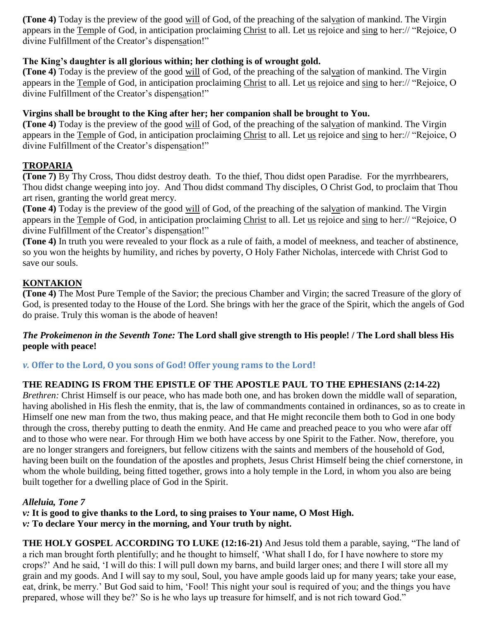**(Tone 4)** Today is the preview of the good will of God, of the preaching of the salvation of mankind. The Virgin appears in the Temple of God, in anticipation proclaiming Christ to all. Let us rejoice and sing to her:// "Rejoice, O divine Fulfillment of the Creator's dispensation!"

# **The King's daughter is all glorious within; her clothing is of wrought gold.**

**(Tone 4)** Today is the preview of the good will of God, of the preaching of the salvation of mankind. The Virgin appears in the Temple of God, in anticipation proclaiming Christ to all. Let us rejoice and sing to her:// "Rejoice, O divine Fulfillment of the Creator's dispensation!"

#### **Virgins shall be brought to the King after her; her companion shall be brought to You.**

**(Tone 4)** Today is the preview of the good will of God, of the preaching of the salvation of mankind. The Virgin appears in the Temple of God, in anticipation proclaiming Christ to all. Let us rejoice and sing to her:// "Rejoice, O divine Fulfillment of the Creator's dispensation!"

#### **TROPARIA**

**(Tone 7)** By Thy Cross, Thou didst destroy death. To the thief, Thou didst open Paradise. For the myrrhbearers, Thou didst change weeping into joy. And Thou didst command Thy disciples, O Christ God, to proclaim that Thou art risen, granting the world great mercy.

**(Tone 4)** Today is the preview of the good will of God, of the preaching of the salvation of mankind. The Virgin appears in the Temple of God, in anticipation proclaiming Christ to all. Let us rejoice and sing to her:// "Rejoice, O divine Fulfillment of the Creator's dispensation!"

**(Tone 4)** In truth you were revealed to your flock as a rule of faith, a model of meekness, and teacher of abstinence, so you won the heights by humility, and riches by poverty, O Holy Father Nicholas, intercede with Christ God to save our souls.

# **KONTAKION**

**(Tone 4)** The Most Pure Temple of the Savior; the precious Chamber and Virgin; the sacred Treasure of the glory of God, is presented today to the House of the Lord. She brings with her the grace of the Spirit, which the angels of God do praise. Truly this woman is the abode of heaven!

#### *The Prokeimenon in the Seventh Tone:* **The Lord shall give strength to His people! / The Lord shall bless His people with peace!**

#### *v.* **Offer to the Lord, O you sons of God! Offer young rams to the Lord!**

#### **THE READING IS FROM THE EPISTLE OF THE APOSTLE PAUL TO THE EPHESIANS (2:14-22)**

*Brethren:* Christ Himself is our peace, who has made both one, and has broken down the middle wall of separation, having abolished in His flesh the enmity, that is, the law of commandments contained in ordinances, so as to create in Himself one new man from the two, thus making peace, and that He might reconcile them both to God in one body through the cross, thereby putting to death the enmity. And He came and preached peace to you who were afar off and to those who were near. For through Him we both have access by one Spirit to the Father. Now, therefore, you are no longer strangers and foreigners, but fellow citizens with the saints and members of the household of God, having been built on the foundation of the apostles and prophets, Jesus Christ Himself being the chief cornerstone, in whom the whole building, being fitted together, grows into a holy temple in the Lord, in whom you also are being built together for a dwelling place of God in the Spirit.

#### *Alleluia, Tone 7*

*v:* **It is good to give thanks to the Lord, to sing praises to Your name, O Most High.**  *v:* **To declare Your mercy in the morning, and Your truth by night.** 

**THE HOLY GOSPEL ACCORDING TO LUKE (12:16-21)** And Jesus told them a parable, saying, "The land of a rich man brought forth plentifully; and he thought to himself, 'What shall I do, for I have nowhere to store my crops?' And he said, 'I will do this: I will pull down my barns, and build larger ones; and there I will store all my grain and my goods. And I will say to my soul, Soul, you have ample goods laid up for many years; take your ease, eat, drink, be merry.' But God said to him, 'Fool! This night your soul is required of you; and the things you have prepared, whose will they be?' So is he who lays up treasure for himself, and is not rich toward God."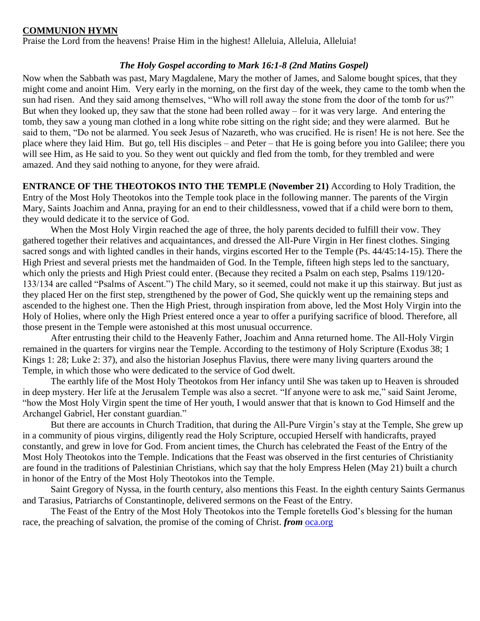#### **COMMUNION HYMN**

Praise the Lord from the heavens! Praise Him in the highest! Alleluia, Alleluia, Alleluia!

#### *The Holy Gospel according to Mark 16:1-8 (2nd Matins Gospel)*

Now when the Sabbath was past, Mary Magdalene, Mary the mother of James, and Salome bought spices, that they might come and anoint Him. Very early in the morning, on the first day of the week, they came to the tomb when the sun had risen. And they said among themselves, "Who will roll away the stone from the door of the tomb for us?" But when they looked up, they saw that the stone had been rolled away – for it was very large. And entering the tomb, they saw a young man clothed in a long white robe sitting on the right side; and they were alarmed. But he said to them, "Do not be alarmed. You seek Jesus of Nazareth, who was crucified. He is risen! He is not here. See the place where they laid Him. But go, tell His disciples – and Peter – that He is going before you into Galilee; there you will see Him, as He said to you. So they went out quickly and fled from the tomb, for they trembled and were amazed. And they said nothing to anyone, for they were afraid.

**ENTRANCE OF THE THEOTOKOS INTO THE TEMPLE (November 21)** According to Holy Tradition, the Entry of the Most Holy Theotokos into the Temple took place in the following manner. The parents of the Virgin Mary, Saints Joachim and Anna, praying for an end to their childlessness, vowed that if a child were born to them, they would dedicate it to the service of God.

When the Most Holy Virgin reached the age of three, the holy parents decided to fulfill their vow. They gathered together their relatives and acquaintances, and dressed the All-Pure Virgin in Her finest clothes. Singing sacred songs and with lighted candles in their hands, virgins escorted Her to the Temple (Ps. 44/45:14-15). There the High Priest and several priests met the handmaiden of God. In the Temple, fifteen high steps led to the sanctuary, which only the priests and High Priest could enter. (Because they recited a Psalm on each step, Psalms 119/120- 133/134 are called "Psalms of Ascent.") The child Mary, so it seemed, could not make it up this stairway. But just as they placed Her on the first step, strengthened by the power of God, She quickly went up the remaining steps and ascended to the highest one. Then the High Priest, through inspiration from above, led the Most Holy Virgin into the Holy of Holies, where only the High Priest entered once a year to offer a purifying sacrifice of blood. Therefore, all those present in the Temple were astonished at this most unusual occurrence.

After entrusting their child to the Heavenly Father, Joachim and Anna returned home. The All-Holy Virgin remained in the quarters for virgins near the Temple. According to the testimony of Holy Scripture (Exodus 38; 1 Kings 1: 28; Luke 2: 37), and also the historian Josephus Flavius, there were many living quarters around the Temple, in which those who were dedicated to the service of God dwelt.

The earthly life of the Most Holy Theotokos from Her infancy until She was taken up to Heaven is shrouded in deep mystery. Her life at the Jerusalem Temple was also a secret. "If anyone were to ask me," said Saint Jerome, "how the Most Holy Virgin spent the time of Her youth, I would answer that that is known to God Himself and the Archangel Gabriel, Her constant guardian."

But there are accounts in Church Tradition, that during the All-Pure Virgin's stay at the Temple, She grew up in a community of pious virgins, diligently read the Holy Scripture, occupied Herself with handicrafts, prayed constantly, and grew in love for God. From ancient times, the Church has celebrated the Feast of the Entry of the Most Holy Theotokos into the Temple. Indications that the Feast was observed in the first centuries of Christianity are found in the traditions of Palestinian Christians, which say that the holy Empress Helen (May 21) built a church in honor of the Entry of the Most Holy Theotokos into the Temple.

Saint Gregory of Nyssa, in the fourth century, also mentions this Feast. In the eighth century Saints Germanus and Tarasius, Patriarchs of Constantinople, delivered sermons on the Feast of the Entry.

The Feast of the Entry of the Most Holy Theotokos into the Temple foretells God's blessing for the human race, the preaching of salvation, the promise of the coming of Christ. *from* [oca.org](https://www.oca.org/saints/lives/2020/11/21/103357-the-entry-of-the-most-holy-mother-of-god-into-the-temple)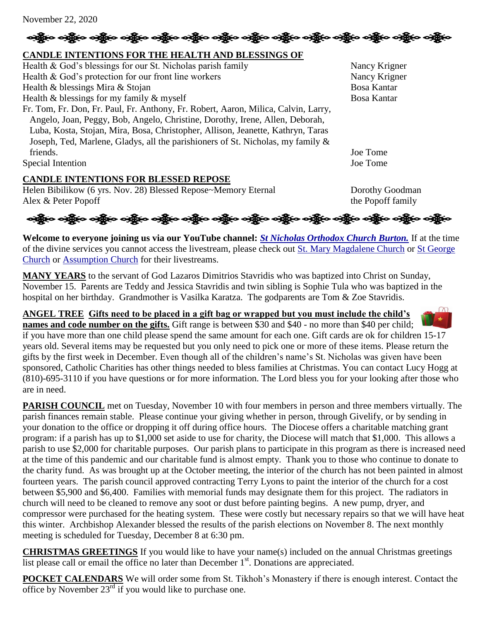# ခရွို့က ခရွိက သန္တို့က ခရွိက သန္တို့က သန္တို့က သန္တို့က သန္တို့က သန္တိုက သန္တိုက သန္တိုက သန္တိုက သန္တိုက

# **CANDLE INTENTIONS FOR THE HEALTH AND BLESSINGS OF**

| Health & God's blessings for our St. Nicholas parish family                        | Nancy Krigner |
|------------------------------------------------------------------------------------|---------------|
| Health & God's protection for our front line workers                               | Nancy Krigner |
| Health & blessings Mira & Stojan                                                   | Bosa Kantar   |
| Health $\&$ blessings for my family $\&$ myself                                    | Bosa Kantar   |
| Fr. Tom, Fr. Don, Fr. Paul, Fr. Anthony, Fr. Robert, Aaron, Milica, Calvin, Larry, |               |
| Angelo, Joan, Peggy, Bob, Angelo, Christine, Dorothy, Irene, Allen, Deborah,       |               |
| Luba, Kosta, Stojan, Mira, Bosa, Christopher, Allison, Jeanette, Kathryn, Taras    |               |
| Joseph, Ted, Marlene, Gladys, all the parishioners of St. Nicholas, my family &    |               |
| friends.                                                                           | Joe Tome      |
| Special Intention                                                                  | Joe Tome      |

#### **CANDLE INTENTIONS FOR BLESSED REPOSE**

Helen Bibilikow (6 yrs. Nov. 28) Blessed Repose~Memory Eternal Dorothy Goodman Alex & Peter Popoff (amily the Popoff family

એફ્રીંગ એફ્રીંગ એફ્રીંગ એફ્રીંગ એફ્રીંગ એફ્રીંગ એફ્રીંગ એફ્રીંગ એફ્રીંગ એફ્રીંગ એફ્રીંગ એફ્રીંગ એફ્રીંગ

**Welcome to everyone joining us via our YouTube channel:** *[St Nicholas Orthodox Church Burton.](https://www.youtube.com/channel/UC59tV-Re443z-GCoETAUvfA)* If at the time of the divine services you cannot access the livestream, please check out [St. Mary Magdalene Church](https://www.youtube.com/channel/UClHAqZrWkXdYELujbbIslHg) or [St George](https://www.youtube.com/channel/UCpLWfxMIJK4uQOV41ekE6Wg/videos?view=2&flow=grid)  [Church](https://www.youtube.com/channel/UCpLWfxMIJK4uQOV41ekE6Wg/videos?view=2&flow=grid) or [Assumption Church](https://www.facebook.com/AssumptionGrandBlanc/) for their livestreams.

**MANY YEARS** to the servant of God Lazaros Dimitrios Stavridis who was baptized into Christ on Sunday, November 15. Parents are Teddy and Jessica Stavridis and twin sibling is Sophie Tula who was baptized in the hospital on her birthday. Grandmother is Vasilka Karatza. The godparents are Tom & Zoe Stavridis.

### **ANGEL TREE Gifts need to be placed in a gift bag or wrapped but you must include the child's**

**names and code number on the gifts.** Gift range is between \$30 and \$40 - no more than \$40 per child; if you have more than one child please spend the same amount for each one. Gift cards are ok for children 15-17 years old. Several items may be requested but you only need to pick one or more of these items. Please return the gifts by the first week in December. Even though all of the children's name's St. Nicholas was given have been sponsored, Catholic Charities has other things needed to bless families at Christmas. You can contact Lucy Hogg at (810)-695-3110 if you have questions or for more information. The Lord bless you for your looking after those who are in need.

**PARISH COUNCIL** met on Tuesday, November 10 with four members in person and three members virtually. The parish finances remain stable. Please continue your giving whether in person, through Givelify, or by sending in your donation to the office or dropping it off during office hours. The Diocese offers a charitable matching grant program: if a parish has up to \$1,000 set aside to use for charity, the Diocese will match that \$1,000. This allows a parish to use \$2,000 for charitable purposes. Our parish plans to participate in this program as there is increased need at the time of this pandemic and our charitable fund is almost empty. Thank you to those who continue to donate to the charity fund. As was brought up at the October meeting, the interior of the church has not been painted in almost fourteen years. The parish council approved contracting Terry Lyons to paint the interior of the church for a cost between \$5,900 and \$6,400. Families with memorial funds may designate them for this project. The radiators in church will need to be cleaned to remove any soot or dust before painting begins. A new pump, dryer, and compressor were purchased for the heating system. These were costly but necessary repairs so that we will have heat this winter. Archbishop Alexander blessed the results of the parish elections on November 8. The next monthly meeting is scheduled for Tuesday, December 8 at 6:30 pm.

**CHRISTMAS GREETINGS** If you would like to have your name(s) included on the annual Christmas greetings list please call or email the office no later than December  $1<sup>st</sup>$ . Donations are appreciated.

**POCKET CALENDARS** We will order some from St. Tikhoh's Monastery if there is enough interest. Contact the office by November  $23<sup>rd</sup>$  if you would like to purchase one.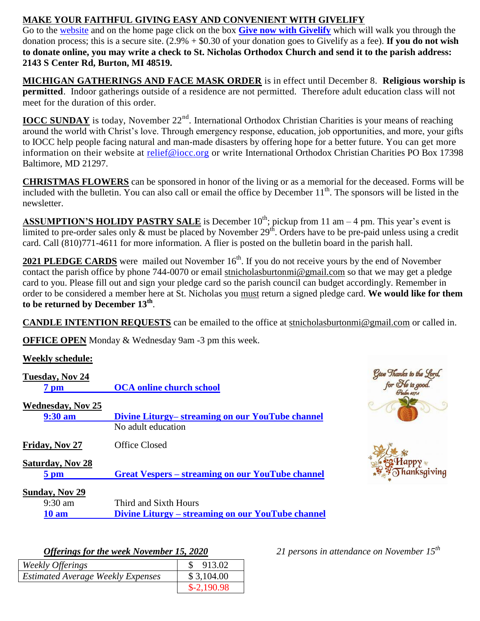# **MAKE YOUR FAITHFUL GIVING EASY AND CONVENIENT WITH GIVELIFY**

Go to the [website](http://www.saintnicholasburton.org/) and on the home page click on the box **[Give now with Givelify](https://www.givelify.com/givenow/1.0/Mzc5MTg=/selection)** which will walk you through the donation process; this is a secure site. (2.9% + \$0.30 of your donation goes to Givelify as a fee). **If you do not wish to donate online, you may write a check to St. Nicholas Orthodox Church and send it to the parish address: 2143 S Center Rd, Burton, MI 48519.**

**MICHIGAN GATHERINGS AND FACE MASK ORDER** is in effect until December 8. **Religious worship is permitted**. Indoor gatherings outside of a residence are not permitted. Therefore adult education class will not meet for the duration of this order.

**IOCC SUNDAY** is today, November 22<sup>nd</sup>. International Orthodox Christian Charities is your means of reaching around the world with Christ's love. Through emergency response, education, job opportunities, and more, your gifts to IOCC help people facing natural and man-made disasters by offering hope for a better future. You can get more information on their website at [relief@iocc.org](mailto:relief@iocc.org) or write International Orthodox Christian Charities PO Box 17398 Baltimore, MD 21297.

**CHRISTMAS FLOWERS** can be sponsored in honor of the living or as a memorial for the deceased. Forms will be included with the bulletin. You can also call or email the office by December  $11<sup>th</sup>$ . The sponsors will be listed in the newsletter.

**ASSUMPTION'S HOLIDY PASTRY SALE** is December  $10^{th}$ ; pickup from 11 am – 4 pm. This year's event is limited to pre-order sales only  $\&$  must be placed by November 29<sup>th</sup>. Orders have to be pre-paid unless using a credit card. Call (810)771-4611 for more information. A flier is posted on the bulletin board in the parish hall.

**2021 PLEDGE CARDS** were mailed out November 16<sup>th</sup>. If you do not receive yours by the end of November contact the parish office by phone 744-0070 or email [stnicholasburtonmi@gmail.com](mailto:stnicholasburtonmi@gmail.com) so that we may get a pledge card to you. Please fill out and sign your pledge card so the parish council can budget accordingly. Remember in order to be considered a member here at St. Nicholas you must return a signed pledge card. **We would like for them to be returned by December 13th** .

**CANDLE INTENTION REQUESTS** can be emailed to the office at [stnicholasburtonmi@gmail.com](mailto:stnicholasburtonmi@gmail.com) or called in.

**OFFICE OPEN** Monday & Wednesday 9am -3 pm this week.

| <b>Weekly schedule:</b>            |                                                         |                                             |
|------------------------------------|---------------------------------------------------------|---------------------------------------------|
| Tuesday, Nov 24<br>7 <sub>pm</sub> | <b>OCA online church school</b>                         | Give Thanks to the Lord,<br>for He is good. |
| <b>Wednesday, Nov 25</b>           |                                                         |                                             |
| 9:30 am                            | Divine Liturgy– streaming on our YouTube channel        |                                             |
|                                    | No adult education                                      |                                             |
| Friday, Nov 27                     | Office Closed                                           |                                             |
| <b>Saturday, Nov 28</b>            |                                                         |                                             |
| $5 \text{ pm}$                     | <b>Great Vespers – streaming on our YouTube channel</b> | anksaiving                                  |
| <b>Sunday, Nov 29</b>              |                                                         |                                             |
| $9:30$ am                          | Third and Sixth Hours                                   |                                             |
| <b>10 am</b>                       | Divine Liturgy – streaming on our YouTube channel       |                                             |

*Offerings for the week November 15, 2020 21 persons in attendance on November 15th*

| $\sigma$ and $\sigma$ and $\sigma$ are $\sigma$ and $\sigma$ are $\sigma$ and $\sigma$ and $\sigma$ and $\sigma$ and $\sigma$ |              |
|-------------------------------------------------------------------------------------------------------------------------------|--------------|
| Weekly Offerings                                                                                                              | 913.02       |
| <b>Estimated Average Weekly Expenses</b>                                                                                      | \$3,104.00   |
|                                                                                                                               | $$-2,190.98$ |